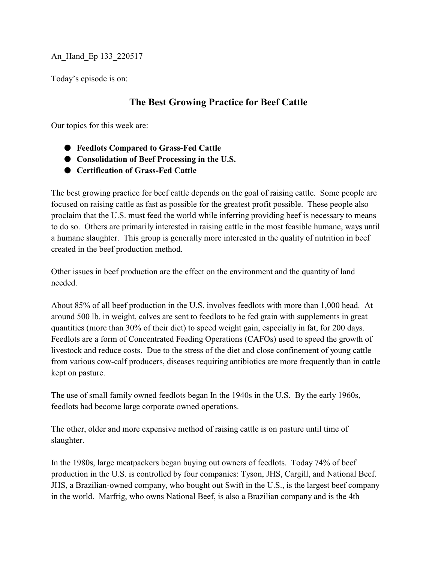An\_Hand\_Ep 133\_220517

Today's episode is on:

## **The Best Growing Practice for Beef Cattle**

Our topics for this week are:

- $\bullet$  Feedlots Compared to Grass-Fed Cattle
- $\bullet$  Consolidation of Beef Processing in the U.S.
- $\bullet$  Certification of Grass-Fed Cattle

The best growing practice for beef cattle depends on the goal of raising cattle. Some people are focused on raising cattle as fast as possible for the greatest profit possible. These people also proclaim that the U.S. must feed the world while inferring providing beef is necessary to means to do so. Others are primarily interested in raising cattle in the most feasible humane, ways until a humane slaughter. This group is generally more interested in the quality of nutrition in beef created in the beef production method.

Other issues in beef production are the effect on the environment and the quantity of land needed.

About 85% of all beef production in the U.S. involves feedlots with more than 1,000 head. At around 500 lb. in weight, calves are sent to feedlots to be fed grain with supplements in great quantities (more than 30% of their diet) to speed weight gain, especially in fat, for 200 days. Feedlots are a form of Concentrated Feeding Operations (CAFOs) used to speed the growth of livestock and reduce costs. Due to the stress of the diet and close confinement of young cattle from various cow-calf producers, diseases requiring antibiotics are more frequently than in cattle kept on pasture.

The use of small family owned feedlots began In the 1940s in the U.S. By the early 1960s, feedlots had become large corporate owned operations.

The other, older and more expensive method of raising cattle is on pasture until time of slaughter.

In the 1980s, large meatpackers began buying out owners of feedlots. Today 74% of beef production in the U.S. is controlled by four companies: Tyson, JHS, Cargill, and National Beef. JHS, a Brazilian-owned company, who bought out Swift in the U.S., is the largest beef company in the world. Marfrig, who owns National Beef, is also a Brazilian company and is the 4th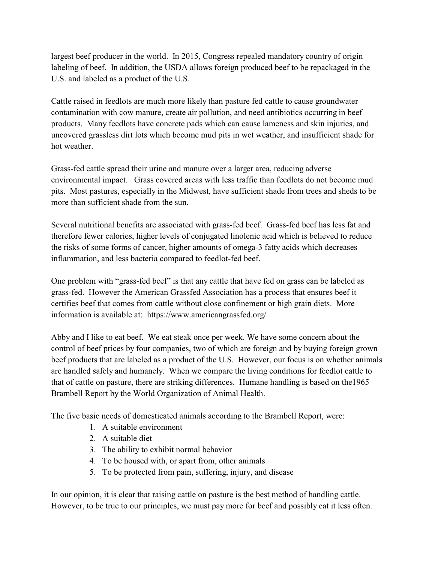largest beef producer in the world. In 2015, Congress repealed mandatory country of origin labeling of beef. In addition, the USDA allows foreign produced beef to be repackaged in the U.S. and labeled as a product of the U.S.

Cattle raised in feedlots are much more likely than pasture fed cattle to cause groundwater contamination with cow manure, create air pollution, and need antibiotics occurring in beef products. Many feedlots have concrete pads which can cause lameness and skin injuries, and uncovered grassless dirt lots which become mud pits in wet weather, and insufficient shade for hot weather.

Grass-fed cattle spread their urine and manure over a larger area, reducing adverse environmental impact. Grass covered areas with less traffic than feedlots do not become mud pits. Most pastures, especially in the Midwest, have sufficient shade from trees and sheds to be more than sufficient shade from the sun.

Several nutritional benefits are associated with grass-fed beef. Grass-fed beef has less fat and therefore fewer calories, higher levels of conjugated linolenic acid which is believed to reduce the risks of some forms of cancer, higher amounts of omega-3 fatty acids which decreases inflammation, and less bacteria compared to feedlot-fed beef.

One problem with "grass-fed beef" is that any cattle that have fed on grass can be labeled as grass-fed. However the American Grassfed Association has a process that ensures beef it certifies beef that comes from cattle without close confinement or high grain diets. More information is available at: https://www.americangrassfed.org/

Abby and I like to eat beef. We eat steak once per week. We have some concern about the control of beef prices by four companies, two of which are foreign and by buying foreign grown beef products that are labeled as a product of the U.S. However, our focus is on whether animals are handled safely and humanely. When we compare the living conditions for feedlot cattle to that of cattle on pasture, there are striking differences. Humane handling is based on the1965 Brambell Report by the World Organization of Animal Health.

The five basic needs of domesticated animals according to the Brambell Report, were:

- 1. A suitable environment
- 2. A suitable diet
- 3. The ability to exhibit normal behavior
- 4. To be housed with, or apart from, other animals
- 5. To be protected from pain, suffering, injury, and disease

In our opinion, it is clear that raising cattle on pasture is the best method of handling cattle. However, to be true to our principles, we must pay more for beef and possibly eat it less often.